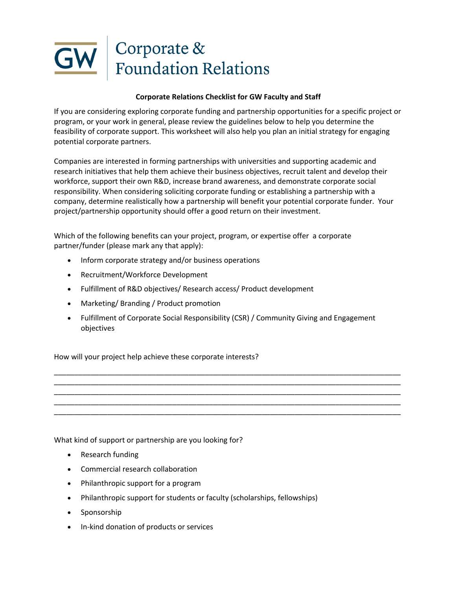

## **Corporate Relations Checklist for GW Faculty and Staff**

If you are considering exploring corporate funding and partnership opportunities for a specific project or program, or your work in general, please review the guidelines below to help you determine the feasibility of corporate support. This worksheet will also help you plan an initial strategy for engaging potential corporate partners.

Companies are interested in forming partnerships with universities and supporting academic and research initiatives that help them achieve their business objectives, recruit talent and develop their workforce, support their own R&D, increase brand awareness, and demonstrate corporate social responsibility. When considering soliciting corporate funding or establishing a partnership with a company, determine realistically how a partnership will benefit your potential corporate funder. Your project/partnership opportunity should offer a good return on their investment.

Which of the following benefits can your project, program, or expertise offer a corporate partner/funder (please mark any that apply):

- Inform corporate strategy and/or business operations
- Recruitment/Workforce Development
- Fulfillment of R&D objectives/ Research access/ Product development
- Marketing/ Branding / Product promotion
- Fulfillment of Corporate Social Responsibility (CSR) / Community Giving and Engagement objectives

\_\_\_\_\_\_\_\_\_\_\_\_\_\_\_\_\_\_\_\_\_\_\_\_\_\_\_\_\_\_\_\_\_\_\_\_\_\_\_\_\_\_\_\_\_\_\_\_\_\_\_\_\_\_\_\_\_\_\_\_\_\_\_\_\_\_\_\_\_\_\_\_\_\_\_\_\_\_\_\_\_\_\_\_\_ \_\_\_\_\_\_\_\_\_\_\_\_\_\_\_\_\_\_\_\_\_\_\_\_\_\_\_\_\_\_\_\_\_\_\_\_\_\_\_\_\_\_\_\_\_\_\_\_\_\_\_\_\_\_\_\_\_\_\_\_\_\_\_\_\_\_\_\_\_\_\_\_\_\_\_\_\_\_\_\_\_\_\_\_\_ \_\_\_\_\_\_\_\_\_\_\_\_\_\_\_\_\_\_\_\_\_\_\_\_\_\_\_\_\_\_\_\_\_\_\_\_\_\_\_\_\_\_\_\_\_\_\_\_\_\_\_\_\_\_\_\_\_\_\_\_\_\_\_\_\_\_\_\_\_\_\_\_\_\_\_\_\_\_\_\_\_\_\_\_\_ \_\_\_\_\_\_\_\_\_\_\_\_\_\_\_\_\_\_\_\_\_\_\_\_\_\_\_\_\_\_\_\_\_\_\_\_\_\_\_\_\_\_\_\_\_\_\_\_\_\_\_\_\_\_\_\_\_\_\_\_\_\_\_\_\_\_\_\_\_\_\_\_\_\_\_\_\_\_\_\_\_\_\_\_\_ \_\_\_\_\_\_\_\_\_\_\_\_\_\_\_\_\_\_\_\_\_\_\_\_\_\_\_\_\_\_\_\_\_\_\_\_\_\_\_\_\_\_\_\_\_\_\_\_\_\_\_\_\_\_\_\_\_\_\_\_\_\_\_\_\_\_\_\_\_\_\_\_\_\_\_\_\_\_\_\_\_\_\_\_\_

How will your project help achieve these corporate interests?

What kind of support or partnership are you looking for?

- Research funding
- Commercial research collaboration
- Philanthropic support for a program
- Philanthropic support for students or faculty (scholarships, fellowships)
- Sponsorship
- In-kind donation of products or services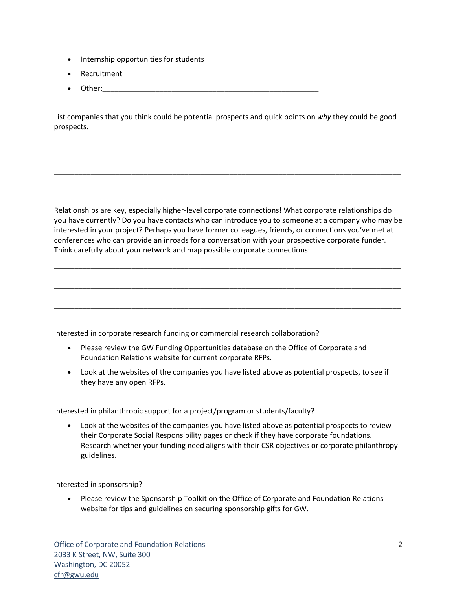- Internship opportunities for students
- Recruitment
- Other:\_\_\_\_\_\_\_\_\_\_\_\_\_\_\_\_\_\_\_\_\_\_\_\_\_\_\_\_\_\_\_\_\_\_\_\_\_\_\_\_\_\_\_\_\_\_\_\_\_\_\_\_\_

List companies that you think could be potential prospects and quick points on *why* they could be good prospects.

\_\_\_\_\_\_\_\_\_\_\_\_\_\_\_\_\_\_\_\_\_\_\_\_\_\_\_\_\_\_\_\_\_\_\_\_\_\_\_\_\_\_\_\_\_\_\_\_\_\_\_\_\_\_\_\_\_\_\_\_\_\_\_\_\_\_\_\_\_\_\_\_\_\_\_\_\_\_\_\_\_\_\_\_\_ \_\_\_\_\_\_\_\_\_\_\_\_\_\_\_\_\_\_\_\_\_\_\_\_\_\_\_\_\_\_\_\_\_\_\_\_\_\_\_\_\_\_\_\_\_\_\_\_\_\_\_\_\_\_\_\_\_\_\_\_\_\_\_\_\_\_\_\_\_\_\_\_\_\_\_\_\_\_\_\_\_\_\_\_\_ \_\_\_\_\_\_\_\_\_\_\_\_\_\_\_\_\_\_\_\_\_\_\_\_\_\_\_\_\_\_\_\_\_\_\_\_\_\_\_\_\_\_\_\_\_\_\_\_\_\_\_\_\_\_\_\_\_\_\_\_\_\_\_\_\_\_\_\_\_\_\_\_\_\_\_\_\_\_\_\_\_\_\_\_\_ \_\_\_\_\_\_\_\_\_\_\_\_\_\_\_\_\_\_\_\_\_\_\_\_\_\_\_\_\_\_\_\_\_\_\_\_\_\_\_\_\_\_\_\_\_\_\_\_\_\_\_\_\_\_\_\_\_\_\_\_\_\_\_\_\_\_\_\_\_\_\_\_\_\_\_\_\_\_\_\_\_\_\_\_\_ \_\_\_\_\_\_\_\_\_\_\_\_\_\_\_\_\_\_\_\_\_\_\_\_\_\_\_\_\_\_\_\_\_\_\_\_\_\_\_\_\_\_\_\_\_\_\_\_\_\_\_\_\_\_\_\_\_\_\_\_\_\_\_\_\_\_\_\_\_\_\_\_\_\_\_\_\_\_\_\_\_\_\_\_\_

Relationships are key, especially higher-level corporate connections! What corporate relationships do you have currently? Do you have contacts who can introduce you to someone at a company who may be interested in your project? Perhaps you have former colleagues, friends, or connections you've met at conferences who can provide an inroads for a conversation with your prospective corporate funder. Think carefully about your network and map possible corporate connections:

\_\_\_\_\_\_\_\_\_\_\_\_\_\_\_\_\_\_\_\_\_\_\_\_\_\_\_\_\_\_\_\_\_\_\_\_\_\_\_\_\_\_\_\_\_\_\_\_\_\_\_\_\_\_\_\_\_\_\_\_\_\_\_\_\_\_\_\_\_\_\_\_\_\_\_\_\_\_\_\_\_\_\_\_\_ \_\_\_\_\_\_\_\_\_\_\_\_\_\_\_\_\_\_\_\_\_\_\_\_\_\_\_\_\_\_\_\_\_\_\_\_\_\_\_\_\_\_\_\_\_\_\_\_\_\_\_\_\_\_\_\_\_\_\_\_\_\_\_\_\_\_\_\_\_\_\_\_\_\_\_\_\_\_\_\_\_\_\_\_\_ \_\_\_\_\_\_\_\_\_\_\_\_\_\_\_\_\_\_\_\_\_\_\_\_\_\_\_\_\_\_\_\_\_\_\_\_\_\_\_\_\_\_\_\_\_\_\_\_\_\_\_\_\_\_\_\_\_\_\_\_\_\_\_\_\_\_\_\_\_\_\_\_\_\_\_\_\_\_\_\_\_\_\_\_\_ \_\_\_\_\_\_\_\_\_\_\_\_\_\_\_\_\_\_\_\_\_\_\_\_\_\_\_\_\_\_\_\_\_\_\_\_\_\_\_\_\_\_\_\_\_\_\_\_\_\_\_\_\_\_\_\_\_\_\_\_\_\_\_\_\_\_\_\_\_\_\_\_\_\_\_\_\_\_\_\_\_\_\_\_\_ \_\_\_\_\_\_\_\_\_\_\_\_\_\_\_\_\_\_\_\_\_\_\_\_\_\_\_\_\_\_\_\_\_\_\_\_\_\_\_\_\_\_\_\_\_\_\_\_\_\_\_\_\_\_\_\_\_\_\_\_\_\_\_\_\_\_\_\_\_\_\_\_\_\_\_\_\_\_\_\_\_\_\_\_\_

Interested in corporate research funding or commercial research collaboration?

- Please review the GW Funding Opportunities database on the Office of Corporate and Foundation Relations website for current corporate RFPs.
- Look at the websites of the companies you have listed above as potential prospects, to see if they have any open RFPs.

Interested in philanthropic support for a project/program or students/faculty?

• Look at the websites of the companies you have listed above as potential prospects to review their Corporate Social Responsibility pages or check if they have corporate foundations. Research whether your funding need aligns with their CSR objectives or corporate philanthropy guidelines.

Interested in sponsorship?

• Please review the Sponsorship Toolkit on the Office of Corporate and Foundation Relations website for tips and guidelines on securing sponsorship gifts for GW.

Office of Corporate and Foundation Relations 2033 K Street, NW, Suite 300 Washington, DC 20052 cfr@gwu.edu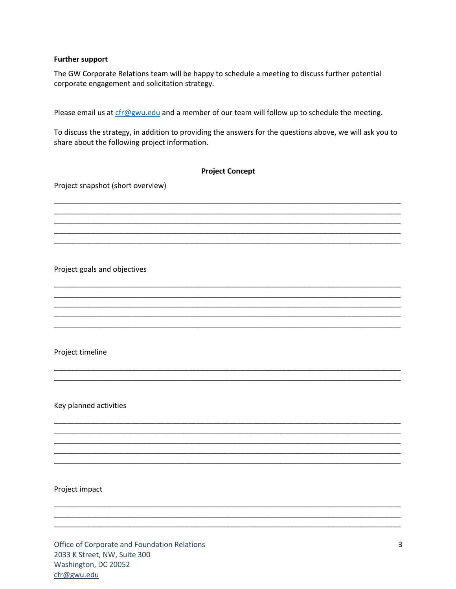## **Further support**

The GW Corporate Relations team will be happy to schedule a meeting to discuss further potential corporate engagement and solicitation strategy.

Please email us at cfr@gwu.edu and a member of our team will follow up to schedule the meeting.

To discuss the strategy, in addition to providing the answers for the questions above, we will ask you to share about the following project information.

| <b>Project Concept</b>            |
|-----------------------------------|
| Project snapshot (short overview) |
|                                   |
|                                   |
|                                   |
|                                   |
|                                   |
| Project goals and objectives      |
|                                   |
|                                   |
|                                   |
|                                   |
| Project timeline                  |
|                                   |
|                                   |
|                                   |
| Key planned activities            |
|                                   |
|                                   |
|                                   |
|                                   |
|                                   |
| Project impact                    |
|                                   |
|                                   |

Office of Corporate and Foundation Relations 2033 K Street, NW, Suite 300 Washington, DC 20052 cfr@gwu.edu